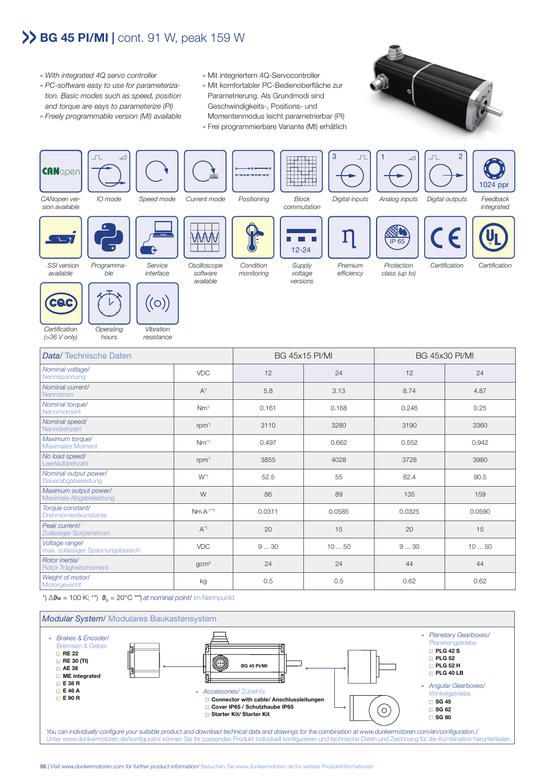## **BG 45 PI/MI |** cont. 91 W, peak 159 W

- » With integrated 4Q servo controller
- » PC-software easy to use for parameteriza tion. Basic modes such as speed, position and torque are eays to parameterize (PI)
- » Freely programmable version (MI) available
- » Mit integriertem 4Q-Servocontroller
- » Mit komfortabler PC-Bedienoberfläche zur Parametrierung. Als Grundmodi sind Geschwindigkeits-, Positions- und Momentenmodus leicht parametrierbar (PI)
- » Frei programmierbare Variante (MI) erhätlich





| Certification<br>$( >36 V$ only)                   | Operating<br>hours | Vibration<br>resistance |                                                                                                                       |                       |        |                       |        |
|----------------------------------------------------|--------------------|-------------------------|-----------------------------------------------------------------------------------------------------------------------|-----------------------|--------|-----------------------|--------|
| Data/Technische Daten                              |                    |                         |                                                                                                                       | <b>BG 45x15 PI/MI</b> |        | <b>BG 45x30 PI/MI</b> |        |
| Nominal voltage/<br>Nennspannung                   |                    |                         | <b>VDC</b>                                                                                                            | 12                    | 24     | 12                    | 24     |
| Nominal current/<br>Nennstrom                      |                    |                         | $A^{\eta}$                                                                                                            | 5.8                   | 3.13   | 8.74                  | 4.87   |
| Nominal torque/<br>Nennmoment                      |                    |                         | $Nm^{\prime}$                                                                                                         | 0.161                 | 0.168  | 0.246                 | 0.25   |
| Nominal speed/<br>Nenndrehzahl                     |                    |                         | rpm <sup>*</sup>                                                                                                      | 3110                  | 3280   | 3190                  | 3360   |
| Maximum torque/<br><b>Maximales Moment</b>         |                    |                         | $Nm^{\gamma}$                                                                                                         | 0.497                 | 0.662  | 0.552                 | 0.942  |
| No load speed/<br>Leerlaufdrehzahl                 |                    |                         | rpm <sup>*</sup>                                                                                                      | 3855                  | 4028   | 3728                  | 3980   |
| Nominal output power/<br>Dauerabgabeleistung       |                    |                         | $W^{\rightarrow}$                                                                                                     | 52.5                  | 55     | 82.4                  | 90.5   |
| Maximum output power/<br>Maximale Abgabeleistung   |                    |                         | W                                                                                                                     | 86                    | 89     | 135                   | 159    |
| Torque constant/<br>Drehmomentkonstante            |                    |                         | $Nm A^{-1}}$                                                                                                          | 0.0311                | 0.0585 | 0.0325                | 0.0590 |
| Peak current/<br>Zulässiger Spitzenstrom           |                    |                         | $A^{\prime\prime}$                                                                                                    | 20                    | 15     | 20                    | 15     |
| Voltage range/<br>max. zulässiger Spannungsbereich |                    |                         | <b>VDC</b>                                                                                                            | 930                   | 1050   | 930                   | 1050   |
| Rotor inertia/<br>Rotor Trägheitsmoment            |                    |                         | qcm <sup>2</sup>                                                                                                      | 24                    | 24     | 44                    | 44     |
| Weight of motor/<br>Motorgewicht                   |                    |                         | kg                                                                                                                    | 0.5                   | 0.5    | 0.62                  | 0.62   |
|                                                    |                    |                         | *) $\Delta \mathbf{\mathcal{S}}$ w = 100 K; **) $\mathbf{\mathcal{S}}_{R}$ = 20°C ***) at nominal point/ im Nennpunkt |                       |        |                       |        |